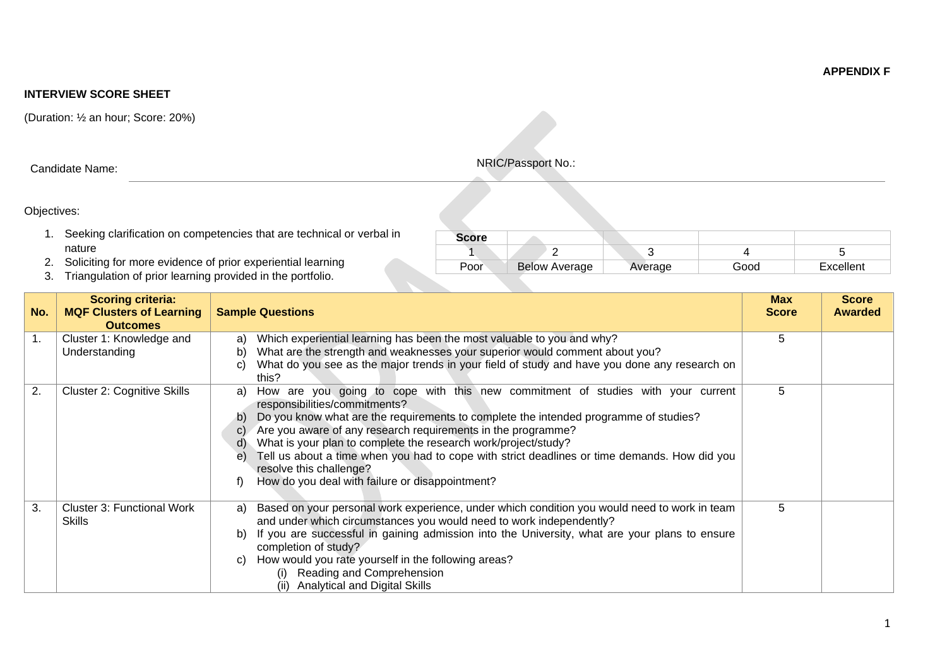**INTERVIEW SCORE SHEET**

(Duration: ½ an hour; Score: 20%)

## Objectives:

- 1. Seeking clarification on competencies that are technical or verbal in nature
- 2. Soliciting for more evidence of prior experiential learning
- 3. Triangulation of prior learning provided in the portfolio.

| No. | <b>Scoring criteria:</b><br><b>MQF Clusters of Learning</b><br><b>Outcomes</b> | <b>Sample Questions</b>                                                                                                                                                                                                                                                                                                                                                                                                                                                                                                                                | <b>Max</b><br><b>Score</b> | <b>Score</b><br><b>Awarded</b> |
|-----|--------------------------------------------------------------------------------|--------------------------------------------------------------------------------------------------------------------------------------------------------------------------------------------------------------------------------------------------------------------------------------------------------------------------------------------------------------------------------------------------------------------------------------------------------------------------------------------------------------------------------------------------------|----------------------------|--------------------------------|
| 1.  | Cluster 1: Knowledge and<br>Understanding                                      | Which experiential learning has been the most valuable to you and why?<br>a)<br>What are the strength and weaknesses your superior would comment about you?<br>b)<br>What do you see as the major trends in your field of study and have you done any research on<br>C)<br>this?                                                                                                                                                                                                                                                                       | 5                          |                                |
| 2.  | <b>Cluster 2: Cognitive Skills</b>                                             | How are you going to cope with this new commitment of studies with your current<br>a)<br>responsibilities/commitments?<br>Do you know what are the requirements to complete the intended programme of studies?<br>b)<br>Are you aware of any research requirements in the programme?<br>C)<br>What is your plan to complete the research work/project/study?<br>d)<br>Tell us about a time when you had to cope with strict deadlines or time demands. How did you<br>e)<br>resolve this challenge?<br>How do you deal with failure or disappointment? | 5                          |                                |
| 3.  | <b>Cluster 3: Functional Work</b><br><b>Skills</b>                             | Based on your personal work experience, under which condition you would need to work in team<br>a)<br>and under which circumstances you would need to work independently?<br>If you are successful in gaining admission into the University, what are your plans to ensure<br>b)<br>completion of study?<br>How would you rate yourself in the following areas?<br>C)<br>(i) Reading and Comprehension<br>(ii) Analytical and Digital Skills                                                                                                           | 5                          |                                |

| <b>Score</b> |                      |         |      |           |
|--------------|----------------------|---------|------|-----------|
|              |                      |         |      |           |
| Poor         | <b>Below Average</b> | Average | Good | Excellent |

Candidate Name: National Candidate Name: NRIC/Passport No.: